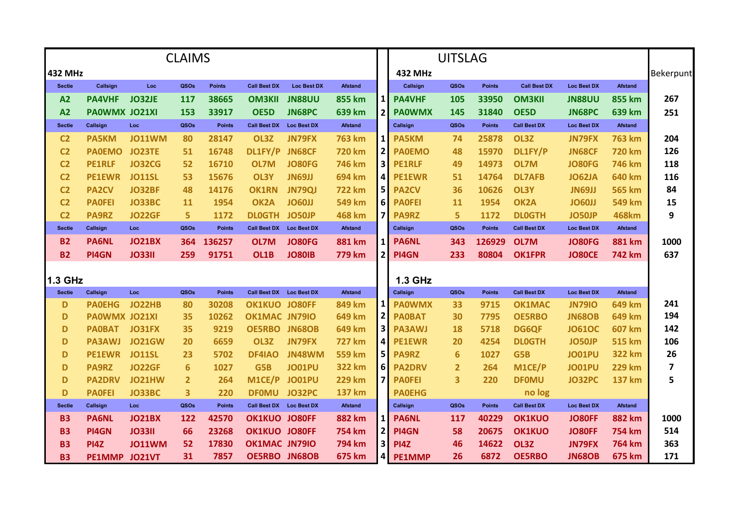| <b>CLAIMS</b>  |               |               |                |               |                          |                    |                |                |                | <b>UITSLAG</b>  |               |                     |                    |                |                  |
|----------------|---------------|---------------|----------------|---------------|--------------------------|--------------------|----------------|----------------|----------------|-----------------|---------------|---------------------|--------------------|----------------|------------------|
| <b>432 MHz</b> |               |               |                |               |                          |                    |                |                | <b>432 MHz</b> |                 |               |                     |                    |                | <b>Bekerpunt</b> |
| <b>Sectie</b>  | Callsign      | Loc           | QSOs           | <b>Points</b> | <b>Call Best DX</b>      | <b>Loc Best DX</b> | <b>Afstand</b> |                | Callsign       | QSOs            | <b>Points</b> | <b>Call Best DX</b> | <b>Loc Best DX</b> | <b>Afstand</b> |                  |
| A2             | <b>PA4VHF</b> | <b>JO32JE</b> | 117            | 38665         | <b>OM3KII</b>            | <b>JN88UU</b>      | <b>855 km</b>  | 1              | <b>PA4VHF</b>  | 105             | 33950         | <b>OM3KII</b>       | <b>JN88UU</b>      | <b>855 km</b>  | 267              |
| A2             | PA0WMX JO21XI |               | 153            | 33917         | OE5D                     | <b>JN68PC</b>      | 639 km         |                | <b>PAOWMX</b>  | 145             | 31840         | OE5D                | <b>JN68PC</b>      | 639 km         | 251              |
| <b>Sectie</b>  | Callsign      | Loc           | QSOs           | <b>Points</b> | <b>Call Best DX</b>      | <b>Loc Best DX</b> | <b>Afstand</b> |                | Callsign       | QSOs            | <b>Points</b> | <b>Call Best DX</b> | <b>Loc Best DX</b> | <b>Afstand</b> |                  |
| C <sub>2</sub> | <b>PA5KM</b>  | <b>JO11WM</b> | 80             | 28147         | OL3Z                     | JN79FX             | <b>763 km</b>  | 1              | <b>PA5KM</b>   | 74              | 25878         | OL3Z                | JN79FX             | <b>763 km</b>  | 204              |
| C <sub>2</sub> | <b>PAOEMO</b> | <b>JO23TE</b> | 51             | 16748         | DL1FY/P                  | <b>JN68CF</b>      | <b>720 km</b>  | 2              | <b>PAOEMO</b>  | 48              | 15970         | DL1FY/P             | <b>JN68CF</b>      | <b>720 km</b>  | 126              |
| C <sub>2</sub> | <b>PE1RLF</b> | <b>JO32CG</b> | 52             | 16710         | OL7M                     | <b>JO80FG</b>      | <b>746 km</b>  | 3              | <b>PE1RLF</b>  | 49              | 14973         | <b>OL7M</b>         | <b>JO80FG</b>      | <b>746 km</b>  | 118              |
| C <sub>2</sub> | <b>PE1EWR</b> | <b>JO11SL</b> | 53             | 15676         | OL3Y                     | <b>JN69JJ</b>      | 694 km         | 4              | <b>PE1EWR</b>  | 51              | 14764         | <b>DL7AFB</b>       | <b>JO62JA</b>      | <b>640 km</b>  | 116              |
| C <sub>2</sub> | <b>PA2CV</b>  | <b>JO32BF</b> | 48             | 14176         | <b>OK1RN</b>             | <b>JN79QJ</b>      | <b>722 km</b>  | 5              | <b>PA2CV</b>   | 36              | 10626         | OL3Y                | <b>JN69JJ</b>      | <b>565 km</b>  | 84               |
| C <sub>2</sub> | <b>PAOFEI</b> | <b>JO33BC</b> | <b>11</b>      | 1954          | OK <sub>2</sub> A        | <b>JO60JJ</b>      | <b>549 km</b>  | 6 <sup>1</sup> | <b>PAOFEI</b>  | 11              | 1954          | OK <sub>2</sub> A   | <b>JO60JJ</b>      | <b>549 km</b>  | 15               |
| C <sub>2</sub> | <b>PA9RZ</b>  | <b>JO22GF</b> | 5              | 1172          | <b>DLOGTH</b>            | <b>JO50JP</b>      | <b>468 km</b>  |                | <b>PA9RZ</b>   | 5               | 1172          | <b>DLOGTH</b>       | <b>JO50JP</b>      | <b>468km</b>   | 9                |
| <b>Sectie</b>  | Callsign      | Loc           | QSOs           | <b>Points</b> | <b>Call Best DX</b>      | <b>Loc Best DX</b> | <b>Afstand</b> |                | Callsign       | QSOs            | <b>Points</b> | <b>Call Best DX</b> | <b>Loc Best DX</b> | <b>Afstand</b> |                  |
| <b>B2</b>      | <b>PA6NL</b>  | <b>JO21BX</b> | 364            | 136257        | OL7M                     | <b>JO80FG</b>      | <b>881 km</b>  |                | <b>PA6NL</b>   | 343             | 126929        | OL7M                | <b>JO80FG</b>      | <b>881 km</b>  | 1000             |
| <b>B2</b>      | PI4GN         | <b>JO33II</b> | 259            | 91751         | OL1B                     | <b>JO80IB</b>      | <b>779 km</b>  |                | PI4GN          | 233             | 80804         | <b>OK1FPR</b>       | <b>JO80CE</b>      | <b>742 km</b>  | 637              |
|                |               |               |                |               |                          |                    |                |                |                |                 |               |                     |                    |                |                  |
| 1.3 GHz        |               |               |                |               |                          |                    |                |                | <b>1.3 GHz</b> |                 |               |                     |                    |                |                  |
| <b>Sectie</b>  | Callsign      | Loc           | QSOs           | <b>Points</b> | Call Best DX Loc Best DX |                    | <b>Afstand</b> |                | Callsign       | QSOs            | <b>Points</b> | <b>Call Best DX</b> | <b>Loc Best DX</b> | <b>Afstand</b> |                  |
| D              | <b>PAOEHG</b> | <b>JO22HB</b> | 80             | 30208         | <b>OK1KUO</b>            | <b>JO80FF</b>      | <b>849 km</b>  |                | <b>PAOWMX</b>  | 33              | 9715          | <b>OK1MAC</b>       | <b>JN79IO</b>      | 649 km         | 241              |
| D              | PA0WMX JO21XI |               | 35             | 10262         | OK1MAC JN79IO            |                    | 649 km         | 2              | <b>PAOBAT</b>  | 30              | 7795          | <b>OE5RBO</b>       | <b>JN68OB</b>      | 649 km         | 194              |
| D              | <b>PAOBAT</b> | <b>JO31FX</b> | 35             | 9219          | <b>OE5RBO JN68OB</b>     |                    | 649 km         | 3              | <b>PA3AWJ</b>  | 18              | 5718          | <b>DG6QF</b>        | <b>JO61OC</b>      | <b>607 km</b>  | 142              |
| D              | <b>PA3AWJ</b> | <b>JO21GW</b> | 20             | 6659          | OL3Z                     | JN79FX             | <b>727 km</b>  | $\vert$        | <b>PE1EWR</b>  | 20              | 4254          | <b>DLOGTH</b>       | <b>JO50JP</b>      | <b>515 km</b>  | 106              |
| D              | <b>PE1EWR</b> | <b>JO11SL</b> | 23             | 5702          | <b>DF4IAO</b>            | <b>JN48WM</b>      | <b>559 km</b>  | 5 <sub>l</sub> | <b>PA9RZ</b>   | $6\phantom{1}6$ | 1027          | G5B                 | <b>JO01PU</b>      | <b>322 km</b>  | 26               |
| D              | <b>PA9RZ</b>  | <b>JO22GF</b> | 6              | 1027          | G5B                      | <b>JO01PU</b>      | <b>322 km</b>  | 6              | <b>PA2DRV</b>  | $\overline{2}$  | 264           | M1CE/P              | <b>JO01PU</b>      | <b>229 km</b>  | 7                |
| D              | <b>PA2DRV</b> | <b>JO21HW</b> | $\overline{2}$ | 264           | M1CE/P                   | <b>JO01PU</b>      | <b>229 km</b>  | 7              | <b>PAOFEI</b>  | 3               | 220           | <b>DF0MU</b>        | <b>JO32PC</b>      | <b>137 km</b>  | 5                |
| D              | <b>PAOFEI</b> | <b>JO33BC</b> | 3              | 220           | <b>DFOMU</b>             | <b>JO32PC</b>      | <b>137 km</b>  |                | <b>PAOEHG</b>  |                 |               | no log              |                    |                |                  |
| <b>Sectie</b>  | Callsign      | Loc           | QSOs           | <b>Points</b> | Call Best DX Loc Best DX |                    | <b>Afstand</b> |                | Callsign       | QSOs            | <b>Points</b> | <b>Call Best DX</b> | <b>Loc Best DX</b> | <b>Afstand</b> |                  |
| <b>B3</b>      | <b>PA6NL</b>  | <b>JO21BX</b> | 122            | 42570         | OK1KUO JO80FF            |                    | <b>882 km</b>  |                | <b>PA6NL</b>   | 117             | 40229         | <b>OK1KUO</b>       | <b>JO80FF</b>      | <b>882 km</b>  | 1000             |
| <b>B3</b>      | PI4GN         | <b>JO33II</b> | 66             | 23268         | OK1KUO JO80FF            |                    | <b>754 km</b>  |                | PI4GN          | 58              | 20675         | <b>OK1KUO</b>       | <b>JO80FF</b>      | <b>754 km</b>  | 514              |
| <b>B3</b>      | <b>PI4Z</b>   | <b>JO11WM</b> | 52             | 17830         | OK1MAC JN79IO            |                    | <b>794 km</b>  | 31             | <b>PI4Z</b>    | 46              | 14622         | OL3Z                | JN79FX             | 764 km         | 363              |
| <b>B3</b>      | PE1MMP JO21VT |               | 31             | 7857          | <b>OE5RBO JN68OB</b>     |                    | <b>675 km</b>  | 41             | <b>PE1MMP</b>  | 26              | 6872          | <b>OE5RBO</b>       | <b>JN68OB</b>      | <b>675 km</b>  | 171              |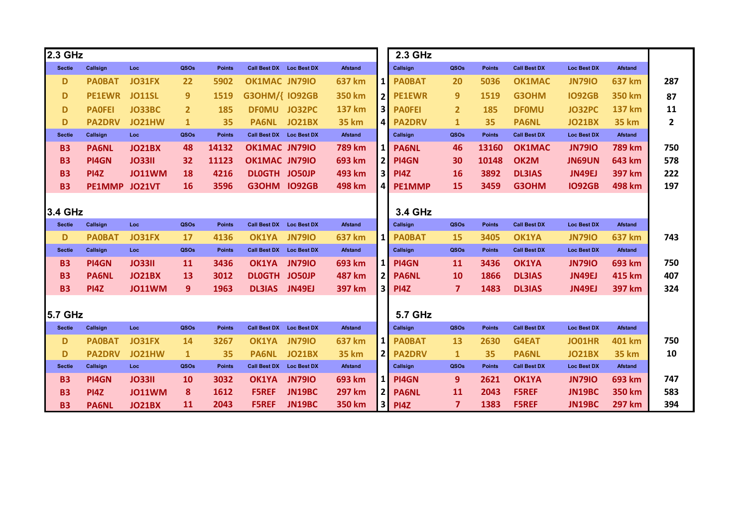| 2.3 GHz        |               |               |                |               |                          |                    |                |                | <b>2.3 GHz</b> |                |               |                     |                    |                |              |
|----------------|---------------|---------------|----------------|---------------|--------------------------|--------------------|----------------|----------------|----------------|----------------|---------------|---------------------|--------------------|----------------|--------------|
| <b>Sectie</b>  | Callsign      | Loc           | QSOs           | <b>Points</b> | <b>Call Best DX</b>      | <b>Loc Best DX</b> | <b>Afstand</b> |                | Callsign       | QSOs           | <b>Points</b> | <b>Call Best DX</b> | <b>Loc Best DX</b> | <b>Afstand</b> |              |
| D              | <b>PAOBAT</b> | <b>JO31FX</b> | 22             | 5902          | OK1MAC JN79IO            |                    | <b>637 km</b>  | 1 <sup>1</sup> | <b>PAOBAT</b>  | 20             | 5036          | <b>OK1MAC</b>       | <b>JN79IO</b>      | <b>637 km</b>  | 287          |
| D              | <b>PE1EWR</b> | <b>JO11SL</b> | 9              | 1519          | <b>G3OHM/{ IO92GB</b>    |                    | 350 km         | 2 <sup>1</sup> | <b>PE1EWR</b>  | 9              | 1519          | G3OHM               | <b>IO92GB</b>      | 350 km         | 87           |
| D              | <b>PAOFEI</b> | <b>JO33BC</b> | $\overline{2}$ | 185           | DF0MU JO32PC             |                    | <b>137 km</b>  | 3 <sup>1</sup> | <b>PAOFEI</b>  | 2              | 185           | <b>DF0MU</b>        | <b>JO32PC</b>      | 137 km         | 11           |
| D              | <b>PA2DRV</b> | <b>JO21HW</b> | $\mathbf{1}$   | 35            | <b>PA6NL</b>             | <b>JO21BX</b>      | <b>35 km</b>   | 4              | <b>PA2DRV</b>  | $\mathbf{1}$   | 35            | <b>PA6NL</b>        | <b>JO21BX</b>      | <b>35 km</b>   | $\mathbf{2}$ |
| <b>Sectie</b>  | Callsign      | Loc           | QSOs           | <b>Points</b> | Call Best DX Loc Best DX |                    | <b>Afstand</b> |                | Callsign       | QSOs           | <b>Points</b> | <b>Call Best DX</b> | <b>Loc Best DX</b> | Afstand        |              |
| <b>B3</b>      | <b>PA6NL</b>  | <b>JO21BX</b> | 48             | 14132         | <b>OK1MAC JN79IO</b>     |                    | <b>789 km</b>  |                | <b>PA6NL</b>   | 46             | 13160         | <b>OK1MAC</b>       | <b>JN79IO</b>      | <b>789 km</b>  | 750          |
| <b>B3</b>      | PI4GN         | <b>JO33II</b> | 32             | 11123         | OK1MAC JN79IO            |                    | 693 km         |                | <b>PI4GN</b>   | 30             | 10148         | OK2M                | <b>JN69UN</b>      | 643 km         | 578          |
| <b>B3</b>      | <b>PI4Z</b>   | <b>JO11WM</b> | 18             | 4216          | DLOGTH JO50JP            |                    | 493 km         | 3              | <b>PI4Z</b>    | <b>16</b>      | 3892          | <b>DL3IAS</b>       | <b>JN49EJ</b>      | 397 km         | 222          |
| <b>B3</b>      | PE1MMP JO21VT |               | 16             | 3596          | G3OHM IO92GB             |                    | 498 km         | 4              | <b>PE1MMP</b>  | 15             | 3459          | G3OHM               | <b>IO92GB</b>      | 498 km         | 197          |
|                |               |               |                |               |                          |                    |                |                |                |                |               |                     |                    |                |              |
| 3.4 GHz        |               |               |                |               |                          |                    |                |                | <b>3.4 GHz</b> |                |               |                     |                    |                |              |
| <b>Sectie</b>  | Callsign      | Loc           | QSOs           | <b>Points</b> | <b>Call Best DX</b>      | <b>Loc Best DX</b> | <b>Afstand</b> |                | Callsign       | QSOs           | <b>Points</b> | <b>Call Best DX</b> | <b>Loc Best DX</b> | <b>Afstand</b> |              |
| D              | <b>PAOBAT</b> | <b>JO31FX</b> | 17             | 4136          | OK1YA                    | <b>JN79IO</b>      | 637 km         |                | <b>PA0BAT</b>  | 15             | 3405          | <b>OK1YA</b>        | <b>JN79IO</b>      | 637 km         | 743          |
| <b>Sectie</b>  | Callsign      | Loc           | QSOs           | <b>Points</b> | <b>Call Best DX</b>      | <b>Loc Best DX</b> | Afstand        |                | Callsign       | QSOs           | <b>Points</b> | <b>Call Best DX</b> | <b>Loc Best DX</b> | <b>Afstand</b> |              |
| <b>B3</b>      | PI4GN         | <b>JO33II</b> | 11             | 3436          | <b>OK1YA</b>             | <b>JN79IO</b>      | 693 km         |                | PI4GN          | 11             | 3436          | OK1YA               | <b>JN79IO</b>      | 693 km         | 750          |
| <b>B3</b>      | <b>PA6NL</b>  | <b>JO21BX</b> | 13             | 3012          | <b>DLOGTH</b>            | <b>JO50JP</b>      | <b>487 km</b>  | 2              | <b>PA6NL</b>   | 10             | 1866          | <b>DL3IAS</b>       | JN49EJ             | 415 km         | 407          |
| <b>B3</b>      | <b>PI4Z</b>   | <b>JO11WM</b> | 9              | 1963          | <b>DL3IAS</b>            | <b>JN49EJ</b>      | 397 km         | 3              | PI4Z           | $\overline{7}$ | 1483          | <b>DL3IAS</b>       | <b>JN49EJ</b>      | 397 km         | 324          |
|                |               |               |                |               |                          |                    |                |                |                |                |               |                     |                    |                |              |
| <b>5.7 GHz</b> |               |               |                |               |                          |                    |                |                | <b>5.7 GHz</b> |                |               |                     |                    |                |              |
| <b>Sectie</b>  | Callsign      | Loc           | QSOs           | <b>Points</b> | <b>Call Best DX</b>      | <b>Loc Best DX</b> | <b>Afstand</b> |                | Callsign       | QSOs           | <b>Points</b> | <b>Call Best DX</b> | Loc Best DX        | <b>Afstand</b> |              |
| D              | <b>PAOBAT</b> | <b>JO31FX</b> | 14             | 3267          | OK1YA                    | <b>JN79IO</b>      | <b>637 km</b>  |                | <b>PA0BAT</b>  | 13             | 2630          | G4EAT               | <b>JO01HR</b>      | 401 km         | 750          |
| D              | <b>PA2DRV</b> | <b>JO21HW</b> | $\mathbf{1}$   | 35            | <b>PA6NL</b>             | <b>JO21BX</b>      | <b>35 km</b>   | $\overline{2}$ | <b>PA2DRV</b>  | $\mathbf{1}$   | 35            | <b>PA6NL</b>        | <b>JO21BX</b>      | <b>35 km</b>   | 10           |
| <b>Sectie</b>  | Callsign      | Loc           | QSOs           | <b>Points</b> | <b>Call Best DX</b>      | <b>Loc Best DX</b> | Afstand        |                | Callsign       | QSOs           | <b>Points</b> | <b>Call Best DX</b> | <b>Loc Best DX</b> | Afstand        |              |
| <b>B3</b>      | PI4GN         | <b>JO33II</b> | <b>10</b>      | 3032          | <b>OK1YA</b>             | <b>JN79IO</b>      | <b>693 km</b>  |                | PI4GN          | 9              | 2621          | OK1YA               | <b>JN79IO</b>      | 693 km         | 747          |
| <b>B3</b>      | <b>PI4Z</b>   | <b>JO11WM</b> | 8              | 1612          | <b>F5REF</b>             | <b>JN19BC</b>      | <b>297 km</b>  | $\overline{2}$ | <b>PA6NL</b>   | 11             | 2043          | <b>F5REF</b>        | <b>JN19BC</b>      | <b>350 km</b>  | 583          |
| <b>B3</b>      | <b>PA6NL</b>  | <b>JO21BX</b> | 11             | 2043          | <b>F5REF</b>             | <b>JN19BC</b>      | 350 km         | 3              | <b>PI4Z</b>    | $\overline{ }$ | 1383          | <b>F5REF</b>        | <b>JN19BC</b>      | <b>297 km</b>  | 394          |